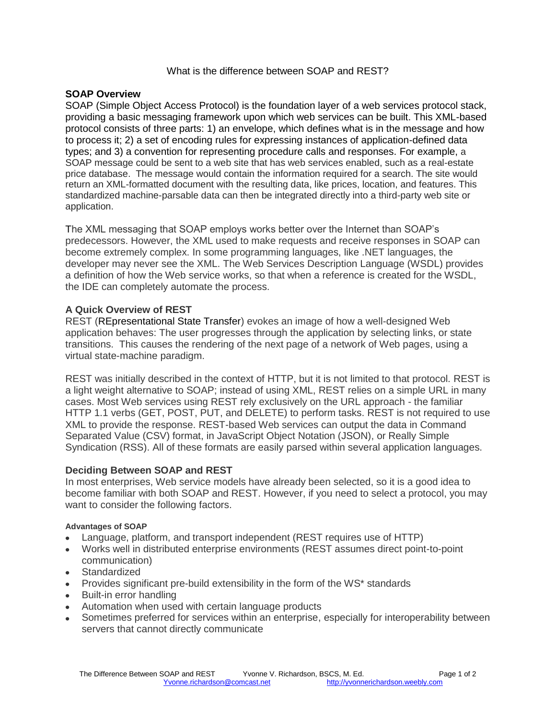### What is the difference between SOAP and REST?

# **SOAP Overview**

SOAP (Simple Object Access Protocol) is the foundation layer of a web services protocol stack, providing a basic messaging framework upon which web services can be built. This XML-based protocol consists of three parts: 1) an envelope, which defines what is in the message and how to process it; 2) a set of encoding rules for expressing instances of application-defined data types; and 3) a convention for representing procedure calls and responses. For example, a SOAP message could be sent to a web site that has web services enabled, such as a real-estate price database. The message would contain the information required for a search. The site would return an XML-formatted document with the resulting data, like prices, location, and features. This standardized machine-parsable data can then be integrated directly into a third-party web site or application.

The XML messaging that SOAP employs works better over the Internet than SOAP's predecessors. However, the XML used to make requests and receive responses in SOAP can become extremely complex. In some programming languages, like .NET languages, the developer may never see the XML. The Web Services Description Language (WSDL) provides a definition of how the Web service works, so that when a reference is created for the WSDL, the IDE can completely automate the process.

# **A Quick Overview of REST**

REST (REpresentational State Transfer) evokes an image of how a well-designed Web application behaves: The user progresses through the application by selecting links, or state transitions. This causes the rendering of the next page of a network of Web pages, using a virtual state-machine paradigm.

REST was initially described in the context of HTTP, but it is not limited to that protocol. REST is a light weight alternative to SOAP; instead of using XML, REST relies on a simple URL in many cases. Most Web services using REST rely exclusively on the URL approach - the familiar HTTP 1.1 verbs (GET, POST, PUT, and DELETE) to perform tasks. REST is not required to use XML to provide the response. REST-based Web services can output the data in Command Separated Value (CSV) format, in JavaScript Object Notation (JSON), or Really Simple Syndication (RSS). All of these formats are easily parsed within several application languages.

# **Deciding Between SOAP and REST**

In most enterprises, Web service models have already been selected, so it is a good idea to become familiar with both SOAP and REST. However, if you need to select a protocol, you may want to consider the following factors.

### **Advantages of SOAP**

- Language, platform, and transport independent (REST requires use of HTTP)
- Works well in distributed enterprise environments (REST assumes direct point-to-point  $\bullet$ communication)
- Standardized
- Provides significant pre-build extensibility in the form of the WS\* standards
- Built-in error handling  $\bullet$
- Automation when used with certain language products
- Sometimes preferred for services within an enterprise, especially for interoperability between servers that cannot directly communicate